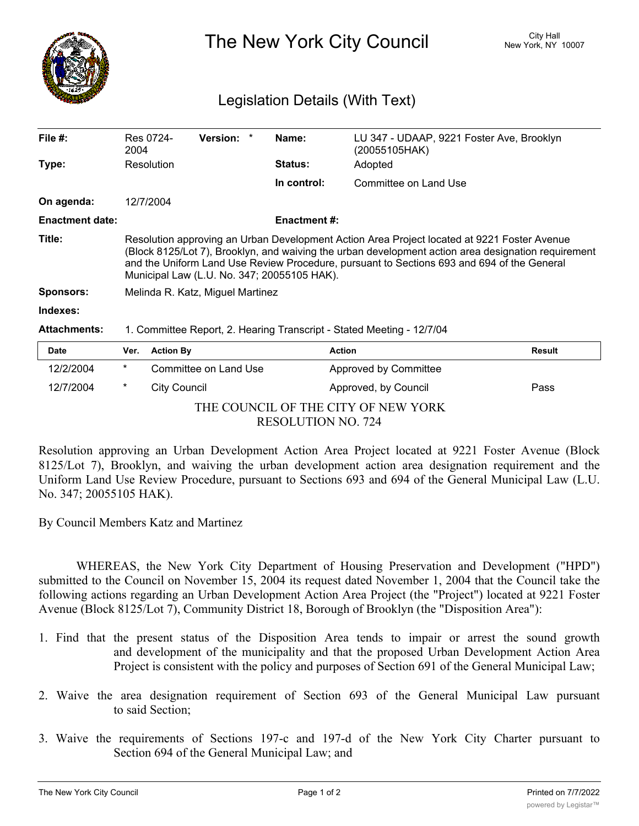

The New York City Council New York, NY 10007

## Legislation Details (With Text)

| File $#$ :             | 2004                                                                                                                                                                                                                                                                                                                                            | Res 0724-        | <b>Version:</b>       | Name:               | LU 347 - UDAAP, 9221 Foster Ave, Brooklyn<br>(20055105HAK) |               |
|------------------------|-------------------------------------------------------------------------------------------------------------------------------------------------------------------------------------------------------------------------------------------------------------------------------------------------------------------------------------------------|------------------|-----------------------|---------------------|------------------------------------------------------------|---------------|
| Type:                  |                                                                                                                                                                                                                                                                                                                                                 | Resolution       |                       | <b>Status:</b>      | Adopted                                                    |               |
|                        |                                                                                                                                                                                                                                                                                                                                                 |                  |                       | In control:         | Committee on Land Use                                      |               |
| On agenda:             |                                                                                                                                                                                                                                                                                                                                                 | 12/7/2004        |                       |                     |                                                            |               |
| <b>Enactment date:</b> |                                                                                                                                                                                                                                                                                                                                                 |                  |                       | <b>Enactment #:</b> |                                                            |               |
| Title:                 | Resolution approving an Urban Development Action Area Project located at 9221 Foster Avenue<br>(Block 8125/Lot 7), Brooklyn, and waiving the urban development action area designation requirement<br>and the Uniform Land Use Review Procedure, pursuant to Sections 693 and 694 of the General<br>Municipal Law (L.U. No. 347; 20055105 HAK). |                  |                       |                     |                                                            |               |
| <b>Sponsors:</b>       | Melinda R. Katz, Miguel Martinez                                                                                                                                                                                                                                                                                                                |                  |                       |                     |                                                            |               |
| Indexes:               |                                                                                                                                                                                                                                                                                                                                                 |                  |                       |                     |                                                            |               |
| <b>Attachments:</b>    | 1. Committee Report, 2. Hearing Transcript - Stated Meeting - 12/7/04                                                                                                                                                                                                                                                                           |                  |                       |                     |                                                            |               |
| <b>Date</b>            | Ver.                                                                                                                                                                                                                                                                                                                                            | <b>Action By</b> |                       |                     | <b>Action</b>                                              | <b>Result</b> |
| 12/2/2004              | $^\star$                                                                                                                                                                                                                                                                                                                                        |                  | Committee on Land Use |                     | Approved by Committee                                      |               |
| 12/7/2004              | *                                                                                                                                                                                                                                                                                                                                               | City Council     |                       |                     | Approved, by Council                                       | Pass          |

THE COUNCIL OF THE CITY OF NEW YORK RESOLUTION NO. 724

Resolution approving an Urban Development Action Area Project located at 9221 Foster Avenue (Block 8125/Lot 7), Brooklyn, and waiving the urban development action area designation requirement and the Uniform Land Use Review Procedure, pursuant to Sections 693 and 694 of the General Municipal Law (L.U. No. 347; 20055105 HAK).

By Council Members Katz and Martinez

WHEREAS, the New York City Department of Housing Preservation and Development ("HPD") submitted to the Council on November 15, 2004 its request dated November 1, 2004 that the Council take the following actions regarding an Urban Development Action Area Project (the "Project") located at 9221 Foster Avenue (Block 8125/Lot 7), Community District 18, Borough of Brooklyn (the "Disposition Area"):

- 1. Find that the present status of the Disposition Area tends to impair or arrest the sound growth and development of the municipality and that the proposed Urban Development Action Area Project is consistent with the policy and purposes of Section 691 of the General Municipal Law;
- 2. Waive the area designation requirement of Section 693 of the General Municipal Law pursuant to said Section;
- 3. Waive the requirements of Sections 197-c and 197-d of the New York City Charter pursuant to Section 694 of the General Municipal Law; and